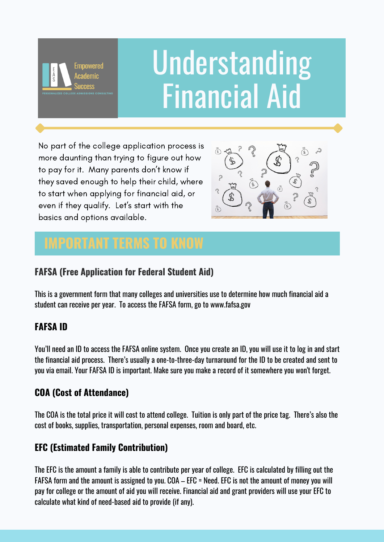

# Understanding Financial Aid

No part of the college application process is more daunting than trying to figure out how to pay for it. Many parents don't know if they saved enough to help their child, where to start when applying for financial aid, or even if they qualify. Let's start with the basics and options available.



## **IMPORTANT TERMS TO KNOW**

### **FAFSA (Free Application for Federal Student Aid)**

This is a government form that many colleges and universities use to determine how much financial aid a student can receive per year. To access the FAFSA form, go to www.fafsa.gov

### **FAFSA ID**

You'll need an ID to access the FAFSA online system. Once you create an ID, you will use it to log in and start the financial aid process. There's usually a one-to-three-day turnaround for the ID to be created and sent to you via email. Your FAFSA ID is important. Make sure you make a record of it somewhere you won't forget.

### **COA (Cost of Attendance)**

The COA is the total price it will cost to attend college. Tuition is only part of the price tag. There's also the cost of books, supplies, transportation, personal expenses, room and board, etc.

### **EFC (Estimated Family Contribution)**

The EFC is the amount a family is able to contribute per year of college. EFC is calculated by filling out the FAFSA form and the amount is assigned to you. COA – EFC = Need. EFC is not the amount of money you will pay for college or the amount of aid you will receive. Financial aid and grant providers will use your EFC to calculate what kind of need-based aid to provide (if any).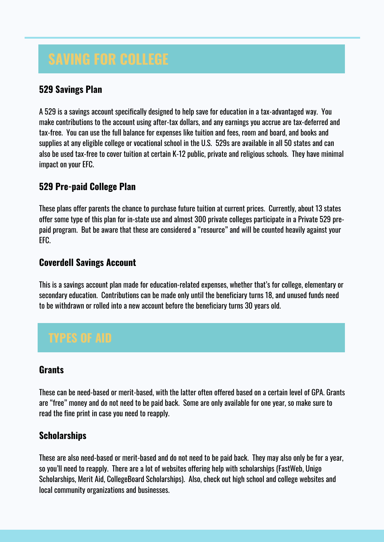#### **529 Savings Plan**

A 529 is a savings account specifically designed to help save for education in a tax-advantaged way. You make contributions to the account using after-tax dollars, and any earnings you accrue are tax-deferred and tax-free. You can use the full balance for expenses like tuition and fees, room and board, and books and supplies at any eligible college or vocational school in the U.S. 529s are available in all 50 states and can also be used tax-free to cover tuition at certain K-12 public, private and religious schools. They have minimal impact on your EFC.

#### **529 Pre-paid College Plan**

These plans offer parents the chance to purchase future tuition at current prices. Currently, about 13 states offer some type of this plan for in-state use and almost 300 private colleges participate in a Private 529 prepaid program. But be aware that these are considered a "resource" and will be counted heavily against your EFC.

#### **Coverdell Savings Account**

This is a savings account plan made for education-related expenses, whether that's for college, elementary or secondary education. Contributions can be made only until the beneficiary turns 18, and unused funds need to be withdrawn or rolled into a new account before the beneficiary turns 30 years old.

#### **Grants**

These can be need-based or merit-based, with the latter often offered based on a certain level of GPA. Grants are "free" money and do not need to be paid back. Some are only available for one year, so make sure to read the fine print in case you need to reapply.

#### **Scholarships**

These are also need-based or merit-based and do not need to be paid back. They may also only be for a year, so you'll need to reapply. There are a lot of websites offering help with scholarships (FastWeb, Unigo Scholarships, Merit Aid, CollegeBoard Scholarships). Also, check out high school and college websites and local community organizations and businesses.